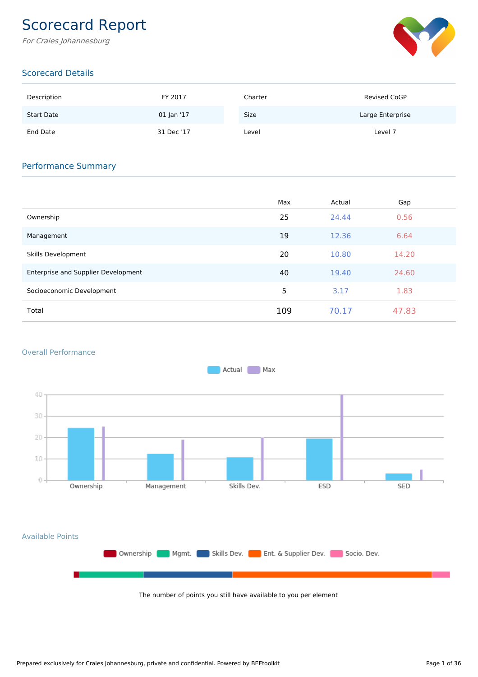# Scorecard Report

For Craies Johannesburg



# Scorecard Details

| Description       | FY 2017    | Charter | Revised CoGP     |
|-------------------|------------|---------|------------------|
| <b>Start Date</b> | 01 Jan '17 | Size    | Large Enterprise |
| End Date          | 31 Dec '17 | Level   | Level 7          |

## Performance Summary

|                                     | Max | Actual | Gap   |
|-------------------------------------|-----|--------|-------|
| Ownership                           | 25  | 24.44  | 0.56  |
| Management                          | 19  | 12.36  | 6.64  |
| Skills Development                  | 20  | 10.80  | 14.20 |
| Enterprise and Supplier Development | 40  | 19.40  | 24.60 |
| Socioeconomic Development           | 5   | 3.17   | 1.83  |
| Total                               | 109 | 70.17  | 47.83 |

#### Overall Performance



The number of points you still have available to you per element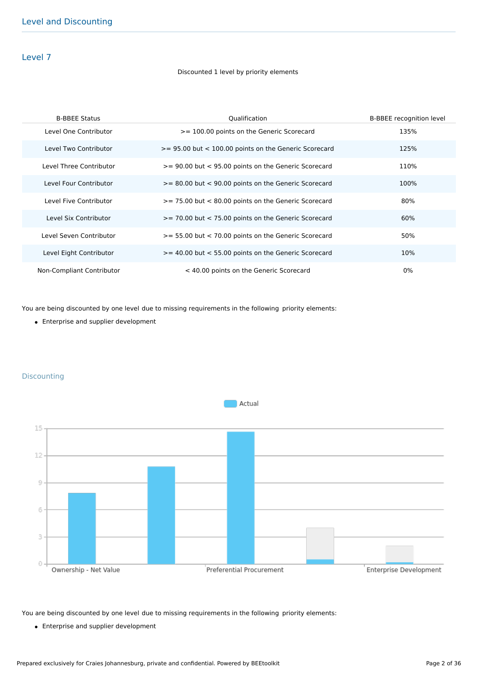### Level 7

#### Discounted 1 level by priority elements

| <b>B-BBEE Status</b>      | Qualification                                             | <b>B-BBEE</b> recognition level |
|---------------------------|-----------------------------------------------------------|---------------------------------|
| Level One Contributor     | >= 100.00 points on the Generic Scorecard                 | 135%                            |
| Level Two Contributor     | $>= 95.00$ but $< 100.00$ points on the Generic Scorecard | 125%                            |
| Level Three Contributor   | >= 90.00 but < 95.00 points on the Generic Scorecard      | 110%                            |
| Level Four Contributor    | >= 80.00 but < 90.00 points on the Generic Scorecard      | 100%                            |
| Level Five Contributor    | $>= 75.00$ but $< 80.00$ points on the Generic Scorecard  | 80%                             |
| Level Six Contributor     | >= 70.00 but < 75.00 points on the Generic Scorecard      | 60%                             |
| Level Seven Contributor   | $>= 55.00$ but $< 70.00$ points on the Generic Scorecard  | 50%                             |
| Level Eight Contributor   | $>= 40.00$ but $< 55.00$ points on the Generic Scorecard  | 10%                             |
| Non-Compliant Contributor | < 40.00 points on the Generic Scorecard                   | 0%                              |

You are being discounted by one level due to missing requirements in the following priority elements:

• Enterprise and supplier development



#### **Discounting**

You are being discounted by one level due to missing requirements in the following priority elements:

Enterprise and supplier development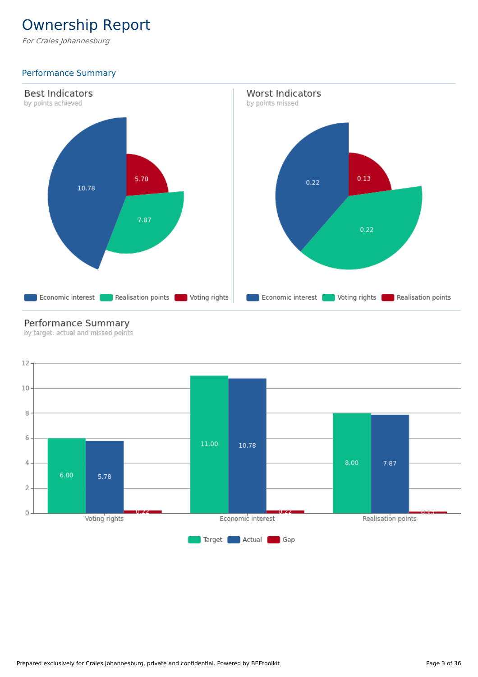# Ownership Report

For Craies Johannesburg

# Performance Summary



# Performance Summary

by target, actual and missed points

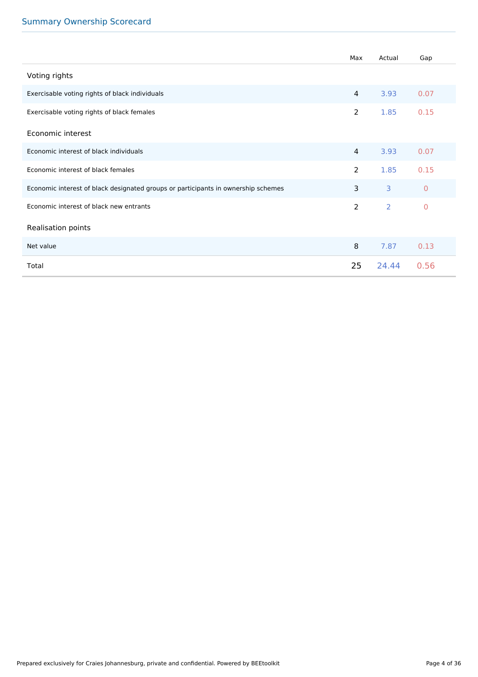|                                                                                   | Max            | Actual         | Gap            |
|-----------------------------------------------------------------------------------|----------------|----------------|----------------|
| Voting rights                                                                     |                |                |                |
| Exercisable voting rights of black individuals                                    | $\overline{4}$ | 3.93           | 0.07           |
| Exercisable voting rights of black females                                        | $\overline{2}$ | 1.85           | 0.15           |
| Economic interest                                                                 |                |                |                |
| Economic interest of black individuals                                            | $\overline{4}$ | 3.93           | 0.07           |
| Economic interest of black females                                                | $\overline{2}$ | 1.85           | 0.15           |
| Economic interest of black designated groups or participants in ownership schemes | $\overline{3}$ | $\overline{3}$ | $\overline{0}$ |
| Economic interest of black new entrants                                           | 2              | $\overline{2}$ | $\overline{0}$ |
| Realisation points                                                                |                |                |                |
| Net value                                                                         | 8              | 7.87           | 0.13           |
| Total                                                                             | 25             | 24.44          | 0.56           |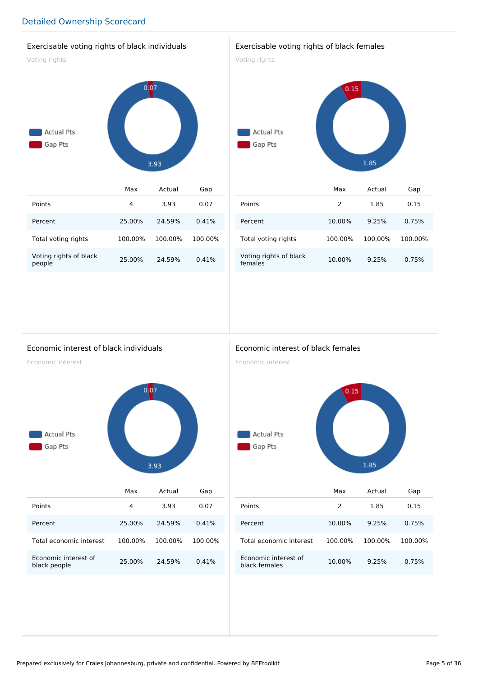#### Exercisable voting rights of black individuals

Voting rights



|                                  | Max     | Actual  | Gap     |
|----------------------------------|---------|---------|---------|
| Points                           | 4       | 3.93    | 0.07    |
| Percent                          | 25.00%  | 24.59%  | 0.41%   |
| Total voting rights              | 100.00% | 100.00% | 100.00% |
| Voting rights of black<br>people | 25.00%  | 24.59%  | 0.41%   |

#### Exercisable voting rights of black females

Voting rights



|                                   | Max     | Actual  | Gap     |
|-----------------------------------|---------|---------|---------|
| Points                            | 2       | 1.85    | 0.15    |
| Percent                           | 10.00%  | 9.25%   | 0.75%   |
| Total voting rights               | 100.00% | 100.00% | 100.00% |
| Voting rights of black<br>females | 10.00%  | 9.25%   | 0.75%   |

#### Economic interest of black individuals

Economic interest



|                                      | Max     | Actual  | Gap     |
|--------------------------------------|---------|---------|---------|
| Points                               | 4       | 3.93    | 0.07    |
| Percent                              | 25.00%  | 24.59%  | 0.41%   |
| Total economic interest              | 100.00% | 100.00% | 100.00% |
| Fronomic interest of<br>black people | 25.00%  | 24.59%  | 0.41%   |

### Economic interest of black females

Economic interest



|                                       | Max           | Actual  | Gap     |
|---------------------------------------|---------------|---------|---------|
| Points                                | $\mathcal{P}$ | 1.85    | 0.15    |
| Percent                               | 10.00%        | 9.25%   | 0.75%   |
| Total economic interest               | 100.00%       | 100.00% | 100.00% |
| Economic interest of<br>black females | 10.00%        | 9.25%   | 0.75%   |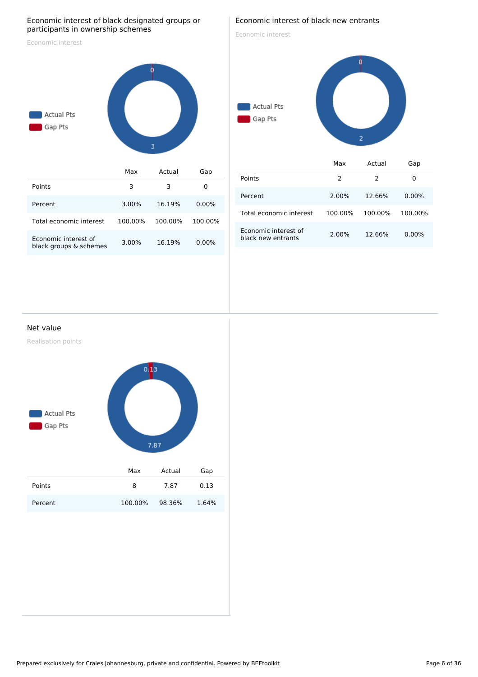#### Economic interest of black designated groups or participants in ownership schemes

Economic interest



| Points                                         | 3       |         |          |
|------------------------------------------------|---------|---------|----------|
| Percent                                        | 3.00%   | 16.19%  | $0.00\%$ |
| Total economic interest                        | 100.00% | 100.00% | 100.00%  |
| Fronomic interest of<br>black groups & schemes | 3.00%   | 16.19%  | $0.00\%$ |

### Economic interest of black new entrants

Economic interest

# Actual Pts Gap Pts  $\overline{2}$ Max Actual Gap

| Points                                     | 2       | 2       | Ω        |
|--------------------------------------------|---------|---------|----------|
| Percent                                    | 2.00%   | 12.66%  | $0.00\%$ |
| Total economic interest                    | 100.00% | 100.00% | 100.00%  |
| Economic interest of<br>black new entrants | 2.00%   | 12.66%  | $0.00\%$ |

#### Net value

Realisation points

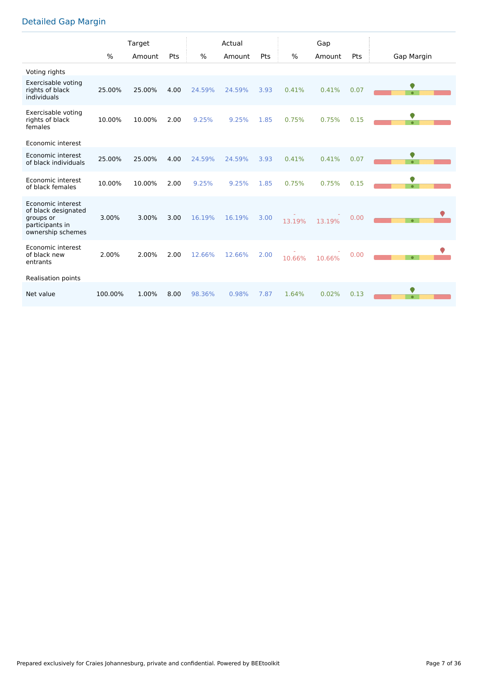# Detailed Gap Margin

|                                                                                               |         | Target |      |        | Actual |      |               | Gap    |      |                |
|-----------------------------------------------------------------------------------------------|---------|--------|------|--------|--------|------|---------------|--------|------|----------------|
|                                                                                               | $\%$    | Amount | Pts  | %      | Amount | Pts  | $\frac{0}{0}$ | Amount | Pts  | Gap Margin     |
| Voting rights                                                                                 |         |        |      |        |        |      |               |        |      |                |
| Exercisable voting<br>rights of black<br>individuals                                          | 25.00%  | 25.00% | 4.00 | 24.59% | 24.59% | 3.93 | 0.41%         | 0.41%  | 0.07 | $\bullet$      |
| Exercisable voting<br>rights of black<br>females                                              | 10.00%  | 10.00% | 2.00 | 9.25%  | 9.25%  | 1.85 | 0.75%         | 0.75%  | 0.15 | 0              |
| Economic interest                                                                             |         |        |      |        |        |      |               |        |      |                |
| Economic interest<br>of black individuals                                                     | 25.00%  | 25.00% | 4.00 | 24.59% | 24.59% | 3.93 | 0.41%         | 0.41%  | 0.07 | 0<br>$\bullet$ |
| Economic interest<br>of black females                                                         | 10.00%  | 10.00% | 2.00 | 9.25%  | 9.25%  | 1.85 | 0.75%         | 0.75%  | 0.15 | $\bullet$      |
| Economic interest<br>of black designated<br>groups or<br>participants in<br>ownership schemes | 3.00%   | 3.00%  | 3.00 | 16.19% | 16.19% | 3.00 | 13.19%        | 13.19% | 0.00 | $\bullet$      |
| Economic interest<br>of black new<br>entrants                                                 | 2.00%   | 2.00%  | 2.00 | 12.66% | 12.66% | 2.00 | 10.66%        | 10.66% | 0.00 |                |
| Realisation points                                                                            |         |        |      |        |        |      |               |        |      |                |
| Net value                                                                                     | 100.00% | 1.00%  | 8.00 | 98.36% | 0.98%  | 7.87 | 1.64%         | 0.02%  | 0.13 | $\bullet$      |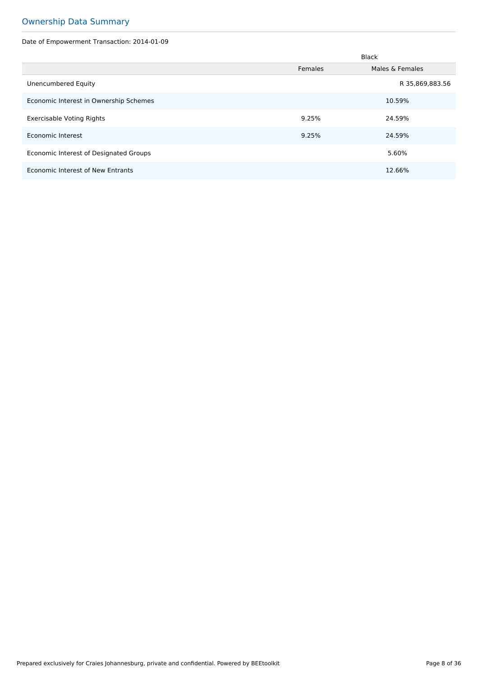# Ownership Data Summary

Date of Empowerment Transaction: 2014-01-09

|                                        |         | <b>Black</b>    |
|----------------------------------------|---------|-----------------|
|                                        | Females | Males & Females |
| Unencumbered Equity                    |         | R 35,869,883.56 |
| Economic Interest in Ownership Schemes |         | 10.59%          |
| Exercisable Voting Rights              | 9.25%   | 24.59%          |
| Economic Interest                      | 9.25%   | 24.59%          |
| Economic Interest of Designated Groups |         | 5.60%           |
| Economic Interest of New Entrants      |         | 12.66%          |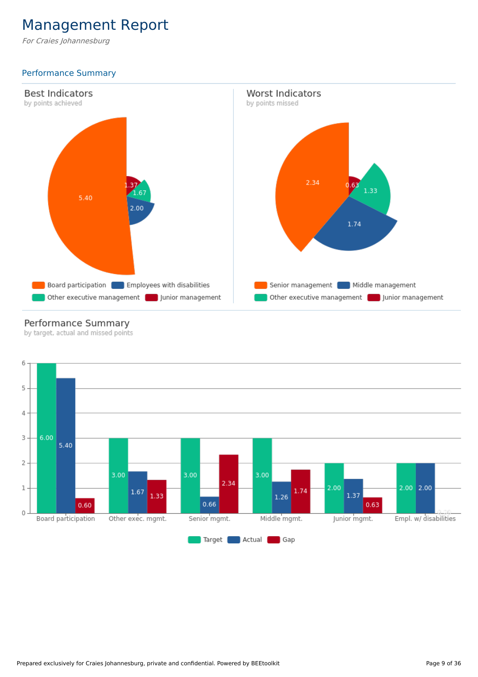# Management Report

For Craies Johannesburg

# Performance Summary



# Performance Summary

by target, actual and missed points

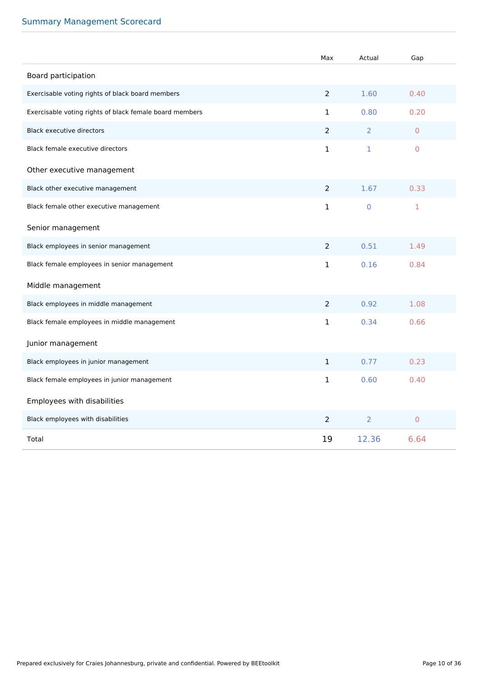# Summary Management Scorecard

|                                                         | Max            | Actual         | Gap            |
|---------------------------------------------------------|----------------|----------------|----------------|
| Board participation                                     |                |                |                |
| Exercisable voting rights of black board members        | $\overline{2}$ | 1.60           | 0.40           |
| Exercisable voting rights of black female board members | $\mathbf{1}$   | 0.80           | 0.20           |
| <b>Black executive directors</b>                        | $\overline{2}$ | $\overline{2}$ | $\overline{0}$ |
| Black female executive directors                        | 1              | $\mathbf{1}$   | $\overline{0}$ |
| Other executive management                              |                |                |                |
| Black other executive management                        | $\overline{2}$ | 1.67           | 0.33           |
| Black female other executive management                 | 1              | $\mathbf 0$    | 1              |
| Senior management                                       |                |                |                |
| Black employees in senior management                    | $\overline{2}$ | 0.51           | 1.49           |
| Black female employees in senior management             | 1              | 0.16           | 0.84           |
| Middle management                                       |                |                |                |
| Black employees in middle management                    | $\overline{2}$ | 0.92           | 1.08           |
| Black female employees in middle management             | 1              | 0.34           | 0.66           |
| Junior management                                       |                |                |                |
| Black employees in junior management                    | $\mathbf{1}$   | 0.77           | 0.23           |
| Black female employees in junior management             | $\mathbf{1}$   | 0.60           | 0.40           |
| Employees with disabilities                             |                |                |                |
| Black employees with disabilities                       | 2              | $\overline{2}$ | $\mathbf 0$    |
| Total                                                   | 19             | 12.36          | 6.64           |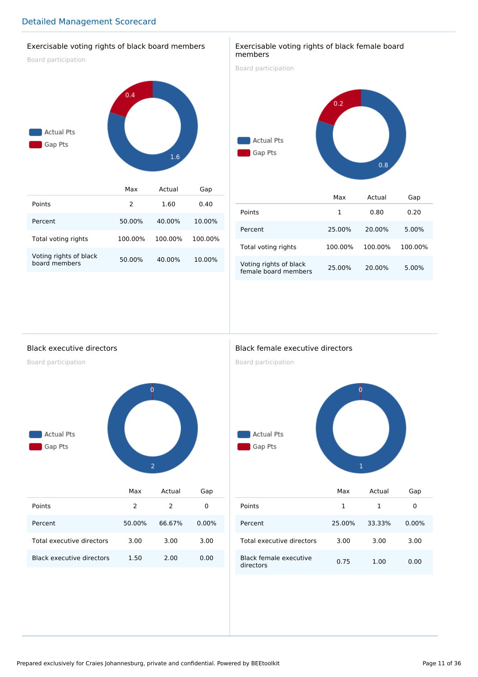## Exercisable voting rights of black board members

Board participation



#### Exercisable voting rights of black female board members

Board participation



|                                                | Max     | Actual  | Gap     |
|------------------------------------------------|---------|---------|---------|
| Points                                         | 1       | 0.80    | 0.20    |
| Percent                                        | 25.00%  | 20.00%  | 5.00%   |
| Total voting rights                            | 100.00% | 100.00% | 100.00% |
| Voting rights of black<br>female board members | 25.00%  | 20.00%  | 5.00%   |

Black executive directors

Board participation



|                           | Max    | Actual | Gap      |
|---------------------------|--------|--------|----------|
| Points                    | 2      | 2      | 0        |
| Percent                   | 50.00% | 66.67% | $0.00\%$ |
| Total executive directors | 3.00   | 3.00   | 3.00     |
| Black executive directors | 1.50   | 2.00   | 0.00     |

## Black female executive directors

Board participation



|                                     | Max    | Actual | Gap      |  |
|-------------------------------------|--------|--------|----------|--|
| Points                              | 1      | 1      | 0        |  |
| Percent                             | 25.00% | 33.33% | $0.00\%$ |  |
| Total executive directors           | 3.00   | 3.00   | 3.00     |  |
| Black female executive<br>directors | 0.75   | 1.00   | 0.00     |  |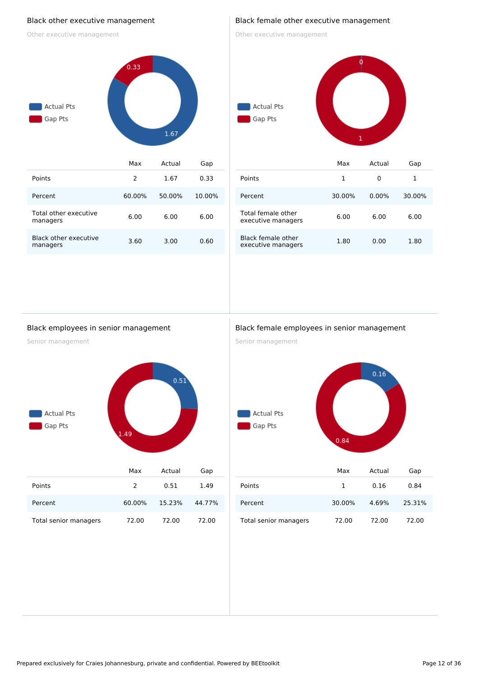#### Black other executive management

Other executive management



### Black female other executive management

Other executive management



| Points                                   |        |          |        |
|------------------------------------------|--------|----------|--------|
| Percent                                  | 30.00% | $0.00\%$ | 30.00% |
| Total female other<br>executive managers | 6.00   | 6.00     | 6.00   |
| Black female other<br>executive managers | 1.80   | 0.00     | 1.80   |

#### Black employees in senior management

Senior management



|                       | <b>Max</b>    | Actual | Gap    |
|-----------------------|---------------|--------|--------|
| Points                | $\mathcal{L}$ | 0.51   | 1.49   |
| Percent               | 60.00%        | 15.23% | 44.77% |
| Total senior managers | 72.00         | 72.00  | 72.00  |

#### Black female employees in senior management

Senior management



|                       | Max    | Actual | Gap    |
|-----------------------|--------|--------|--------|
| Points                | 1      | 0.16   | 0.84   |
| Percent               | 30.00% | 4.69%  | 25.31% |
| Total senior managers | 72.00  | 72.00  | 72.00  |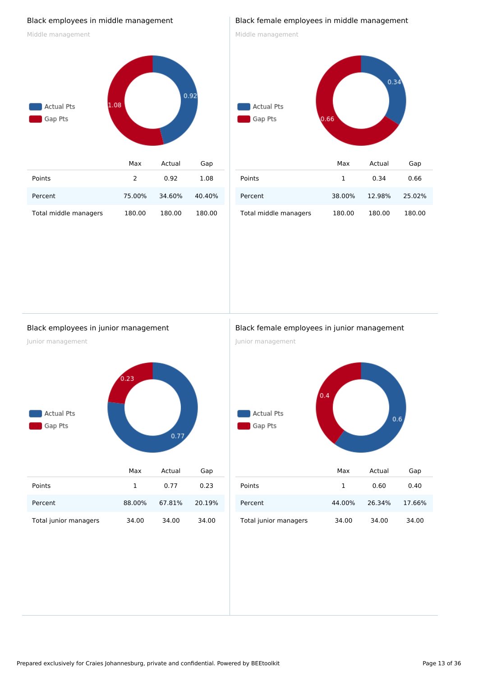### Black employees in middle management

Middle management



#### Black female employees in middle management

Middle management

# $0.34$ Actual Pts Gap Pts  $0.66$ Max Actual Gap Points 1 0.34 0.66 Percent 38.00% 12.98% 25.02% Total middle managers 180.00 180.00 180.00

#### Black employees in junior management

Junior management



Total junior managers 34.00 34.00 34.00

#### Black female employees in junior management

Junior management



|                       | Max    | Actual | Gap    |
|-----------------------|--------|--------|--------|
| Points                | 1      | 0.60   | 0.40   |
| Percent               | 44.00% | 26.34% | 17.66% |
| Total junior managers | 34.00  | 34.00  | 34.00  |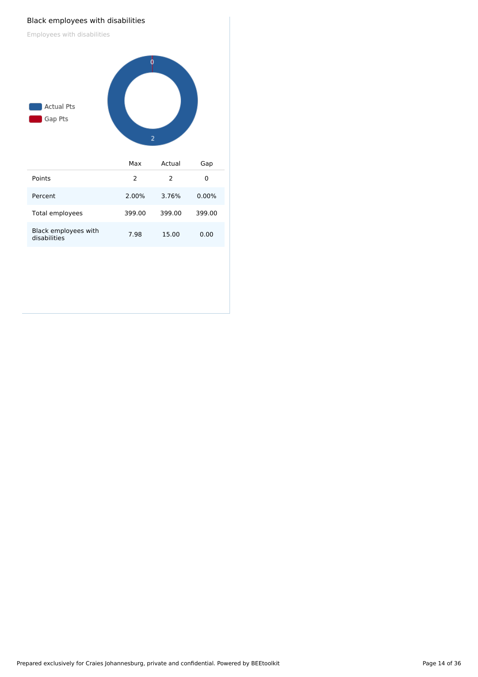#### Black employees with disabilities

Employees with disabilities

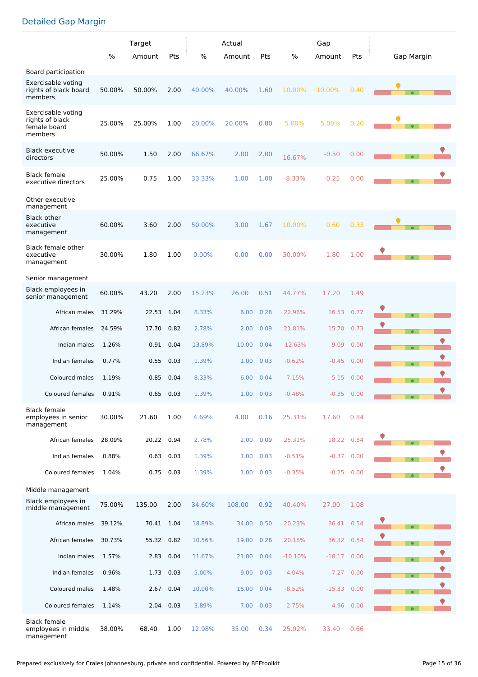# Detailed Gap Margin

|                                                                  |        | Target     |      | Actual |        |           | Gap       |          |      |            |  |  |
|------------------------------------------------------------------|--------|------------|------|--------|--------|-----------|-----------|----------|------|------------|--|--|
|                                                                  | $\%$   | Amount     | Pts  | $\%$   | Amount | Pts       | %         | Amount   | Pts  | Gap Margin |  |  |
| Board participation                                              |        |            |      |        |        |           |           |          |      |            |  |  |
| Exercisable voting<br>rights of black board<br>members           | 50.00% | 50.00%     | 2.00 | 40.00% | 40.00% | 1.60      | 10.00%    | 10.00%   | 0.40 |            |  |  |
| Exercisable voting<br>rights of black<br>female board<br>members | 25.00% | 25.00%     | 1.00 | 20.00% | 20.00% | 0.80      | 5.00%     | 5.00%    | 0.20 |            |  |  |
| <b>Black executive</b><br>directors                              | 50.00% | 1.50       | 2.00 | 66.67% | 2.00   | 2.00      | 16.67%    | $-0.50$  | 0.00 | $\bullet$  |  |  |
| <b>Black female</b><br>executive directors                       | 25.00% | 0.75       | 1.00 | 33.33% | 1.00   | 1.00      | $-8.33%$  | $-0.25$  | 0.00 |            |  |  |
| Other executive<br>management                                    |        |            |      |        |        |           |           |          |      |            |  |  |
| <b>Black other</b><br>executive<br>management                    | 60.00% | 3.60       | 2.00 | 50.00% | 3.00   | 1.67      | 10.00%    | 0.60     | 0.33 |            |  |  |
| Black female other<br>executive<br>management                    | 30.00% | 1.80       | 1.00 | 0.00%  | 0.00   | 0.00      | 30.00%    | 1.80     | 1.00 |            |  |  |
| Senior management                                                |        |            |      |        |        |           |           |          |      |            |  |  |
| Black employees in<br>senior management                          | 60.00% | 43.20      | 2.00 | 15.23% | 26.00  | 0.51      | 44.77%    | 17.20    | 1.49 |            |  |  |
| African males                                                    | 31.29% | 22.53      | 1.04 | 8.33%  | 6.00   | 0.28      | 22.96%    | 16.53    | 0.77 |            |  |  |
| African females                                                  | 24.59% | 17.70      | 0.82 | 2.78%  | 2.00   | 0.09      | 21.81%    | 15.70    | 0.73 | $\bullet$  |  |  |
| Indian males                                                     | 1.26%  | 0.91       | 0.04 | 13.89% | 10.00  | 0.04      | $-12.63%$ | $-9.09$  | 0.00 | $\bullet$  |  |  |
| Indian females                                                   | 0.77%  | 0.55       | 0.03 | 1.39%  | 1.00   | 0.03      | $-0.62%$  | $-0.45$  | 0.00 | $\bullet$  |  |  |
| Coloured males                                                   | 1.19%  | 0.85       | 0.04 | 8.33%  | 6.00   | 0.04      | $-7.15%$  | $-5.15$  | 0.00 | $\bullet$  |  |  |
| Coloured females                                                 | 0.91%  | 0.65       | 0.03 | 1.39%  | 1.00   | 0.03      | $-0.48%$  | $-0.35$  | 0.00 | ♥          |  |  |
| <b>Black female</b><br>employees in senior<br>management         | 30.00% | 21.60      | 1.00 | 4.69%  | 4.00   | 0.16      | 25.31%    | 17.60    | 0.84 |            |  |  |
| African females                                                  | 28.09% | 20.22      | 0.94 | 2.78%  | 2.00   | 0.09      | 25.31%    | 18.22    | 0.84 |            |  |  |
| Indian females                                                   | 0.88%  | 0.63       | 0.03 | 1.39%  | 1.00   | 0.03      | $-0.51%$  | $-0.37$  | 0.00 | $\bullet$  |  |  |
| Coloured females                                                 | 1.04%  | 0.75       | 0.03 | 1.39%  | 1.00   | 0.03      | $-0.35%$  | $-0.25$  | 0.00 | $\bullet$  |  |  |
| Middle management                                                |        |            |      |        |        |           |           |          |      |            |  |  |
| Black employees in<br>middle management                          | 75.00% | 135.00     | 2.00 | 34.60% | 108.00 | 0.92      | 40.40%    | 27.00    | 1.08 |            |  |  |
| African males                                                    | 39.12% | 70.41 1.04 |      | 18.89% | 34.00  | 0.50      | 20.23%    | 36.41    | 0.54 |            |  |  |
| African females                                                  | 30.73% | 55.32      | 0.82 | 10.56% | 19.00  | 0.28      | 20.18%    | 36.32    | 0.54 | $\bullet$  |  |  |
| Indian males                                                     | 1.57%  | 2.83       | 0.04 | 11.67% | 21.00  | 0.04      | $-10.10%$ | $-18.17$ | 0.00 | $\bullet$  |  |  |
| Indian females                                                   | 0.96%  | 1.73 0.03  |      | 5.00%  | 9.00   | 0.03      | $-4.04%$  | $-7.27$  | 0.00 | $\bullet$  |  |  |
| Coloured males                                                   | 1.48%  | 2.67       | 0.04 | 10.00% | 18.00  | 0.04      | $-8.52%$  | $-15.33$ | 0.00 | $\bullet$  |  |  |
| Coloured females                                                 | 1.14%  | 2.04       | 0.03 | 3.89%  |        | 7.00 0.03 | $-2.75%$  | $-4.96$  | 0.00 |            |  |  |
| <b>Black female</b><br>employees in middle<br>management         | 38.00% | 68.40      | 1.00 | 12.98% | 35.00  | 0.34      | 25.02%    | 33.40    | 0.66 |            |  |  |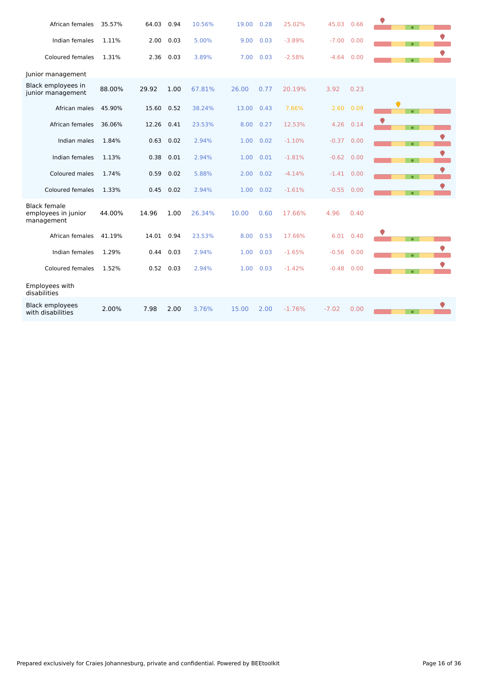| African females                                          | 35.57% | 64.03 | 0.94 | 10.56% | 19.00 | 0.28 | 25.02%   | 45.03        | 0.66      | $\bullet$ |  |
|----------------------------------------------------------|--------|-------|------|--------|-------|------|----------|--------------|-----------|-----------|--|
| Indian females                                           | 1.11%  | 2.00  | 0.03 | 5.00%  | 9.00  | 0.03 | $-3.89%$ | $-7.00$      | 0.00      | $\bullet$ |  |
| Coloured females                                         | 1.31%  | 2.36  | 0.03 | 3.89%  | 7.00  | 0.03 | $-2.58%$ | $-4.64$      | 0.00      | $\bullet$ |  |
| Junior management                                        |        |       |      |        |       |      |          |              |           |           |  |
| Black employees in<br>junior management                  | 88.00% | 29.92 | 1.00 | 67.81% | 26.00 | 0.77 | 20.19%   | 3.92         | 0.23      |           |  |
| African males                                            | 45.90% | 15.60 | 0.52 | 38.24% | 13.00 | 0.43 | 7.66%    | 2.60         | 0.09      | $\bullet$ |  |
| African females                                          | 36.06% | 12.26 | 0.41 | 23.53% | 8.00  | 0.27 | 12.53%   | 4.26         | 0.14      | $\bullet$ |  |
| Indian males                                             | 1.84%  | 0.63  | 0.02 | 2.94%  | 1.00  | 0.02 | $-1.10%$ | $-0.37$      | 0.00      | $\bullet$ |  |
| Indian females                                           | 1.13%  | 0.38  | 0.01 | 2.94%  | 1.00  | 0.01 | $-1.81%$ | $-0.62$      | 0.00      | $\bullet$ |  |
| Coloured males                                           | 1.74%  | 0.59  | 0.02 | 5.88%  | 2.00  | 0.02 | $-4.14%$ | $-1.41$ 0.00 |           | $\bullet$ |  |
| Coloured females                                         | 1.33%  | 0.45  | 0.02 | 2.94%  | 1.00  | 0.02 | $-1.61%$ | $-0.55$ 0.00 |           | $\bullet$ |  |
| <b>Black female</b><br>employees in junior<br>management | 44.00% | 14.96 | 1.00 | 26.34% | 10.00 | 0.60 | 17.66%   | 4.96         | 0.40      |           |  |
| African females                                          | 41.19% | 14.01 | 0.94 | 23.53% | 8.00  | 0.53 | 17.66%   |              | 6.01 0.40 | $\bullet$ |  |
| Indian females                                           | 1.29%  | 0.44  | 0.03 | 2.94%  | 1.00  | 0.03 | $-1.65%$ | $-0.56$      | 0.00      | $\bullet$ |  |
| Coloured females                                         | 1.52%  | 0.52  | 0.03 | 2.94%  | 1.00  | 0.03 | $-1.42%$ | $-0.48$      | 0.00      | $\bullet$ |  |
| Employees with<br>disabilities                           |        |       |      |        |       |      |          |              |           |           |  |
| <b>Black employees</b><br>with disabilities              | 2.00%  | 7.98  | 2.00 | 3.76%  | 15.00 | 2.00 | $-1.76%$ | $-7.02$      | 0.00      | $\bullet$ |  |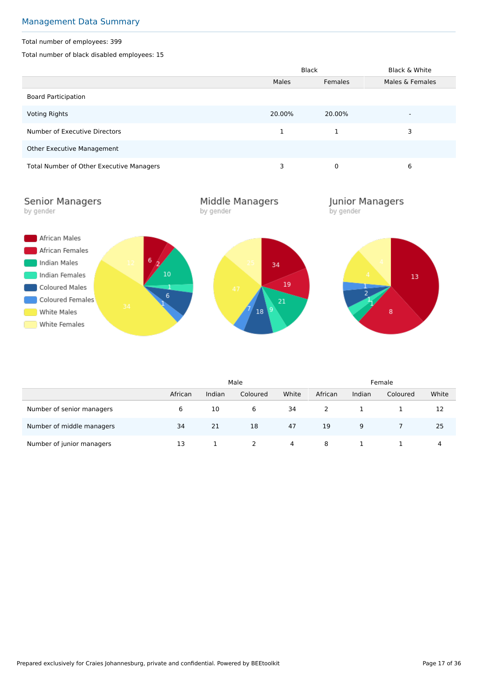# Management Data Summary

#### Total number of employees: 399

Total number of black disabled employees: 15

|                                          |              | <b>Black</b> | Black & White   |
|------------------------------------------|--------------|--------------|-----------------|
|                                          | <b>Males</b> | Females      | Males & Females |
| <b>Board Participation</b>               |              |              |                 |
| Voting Rights                            | 20.00%       | 20.00%       |                 |
| Number of Executive Directors            |              | 1            | 3               |
| <b>Other Executive Management</b>        |              |              |                 |
| Total Number of Other Executive Managers | 3            | 0            | 6               |

**Senior Managers** by gender

Middle Managers by gender

**Junior Managers**<br>by gender



|                           |         | Male   |          |       |         | Female |          |       |  |
|---------------------------|---------|--------|----------|-------|---------|--------|----------|-------|--|
|                           | African | Indian | Coloured | White | African | Indian | Coloured | White |  |
| Number of senior managers | 6       | 10     | 6        | 34    |         |        |          | 12    |  |
| Number of middle managers | 34      | 21     | 18       | 47    | 19      | 9      |          | 25    |  |
| Number of junior managers | 13      |        |          | 4     | 8       |        |          | 4     |  |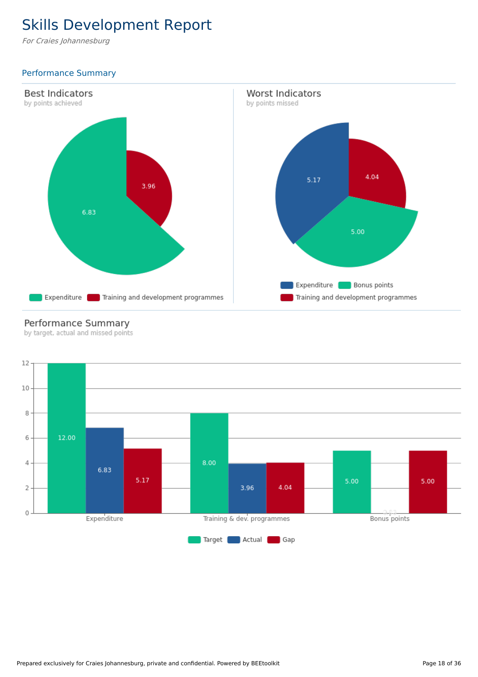# Skills Development Report

For Craies Johannesburg

# Performance Summary



# Performance Summary

by target, actual and missed points

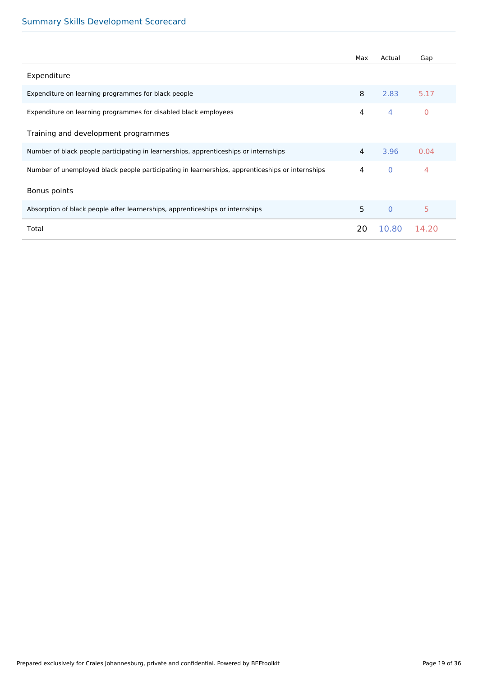# Summary Skills Development Scorecard

|                                                                                                 | Max            | Actual       | Gap            |
|-------------------------------------------------------------------------------------------------|----------------|--------------|----------------|
| Expenditure                                                                                     |                |              |                |
| Expenditure on learning programmes for black people                                             | 8              | 2.83         | 5.17           |
| Expenditure on learning programmes for disabled black employees                                 | 4              | 4            | $\overline{0}$ |
| Training and development programmes                                                             |                |              |                |
| Number of black people participating in learnerships, apprenticeships or internships            | 4              | 3.96         | 0.04           |
| Number of unemployed black people participating in learnerships, apprenticeships or internships | $\overline{4}$ | $\mathbf{0}$ | $\overline{4}$ |
| Bonus points                                                                                    |                |              |                |
| Absorption of black people after learnerships, apprenticeships or internships                   | 5              | $\Omega$     | 5              |
| Total                                                                                           | 20             | 10.80        | 14.20          |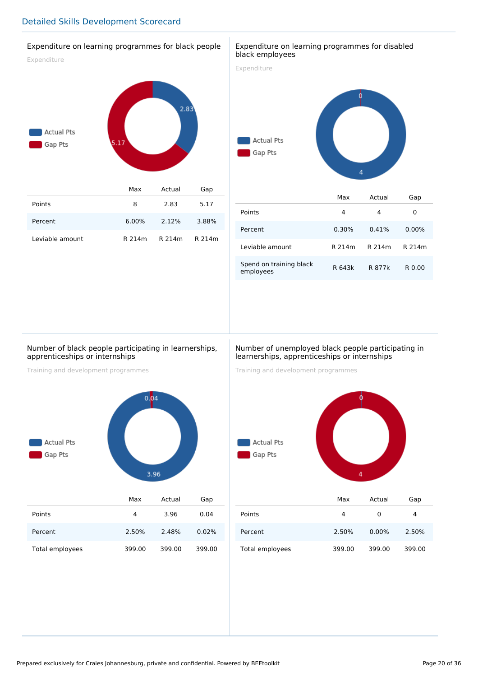#### Expenditure on learning programmes for black people

Expenditure



| Points          |          | 2.83          | 5.17  |
|-----------------|----------|---------------|-------|
| Percent         | $6.00\%$ | 2.12%         | 3.88% |
| Leviable amount | R 214m   | R 214m R 214m |       |

#### Expenditure on learning programmes for disabled black employees

Expenditure



|                                      | Max    | Actual | Gap      |
|--------------------------------------|--------|--------|----------|
| Points                               | 4      | 4      | 0        |
| Percent                              | 0.30%  | 0.41%  | $0.00\%$ |
| Leviable amount                      | R 214m | R 214m | R 214m   |
| Spend on training black<br>employees | R 643k | R 877k | R 0.00   |

#### Number of black people participating in learnerships, apprenticeships or internships

Training and development programmes



#### Number of unemployed black people participating in learnerships, apprenticeships or internships

Training and development programmes



|                 | Max    | Actual   | Gap    |
|-----------------|--------|----------|--------|
| Points          | 4      | 0        | 4      |
| Percent         | 2.50%  | $0.00\%$ | 2.50%  |
| Total employees | 399.00 | 399.00   | 399.00 |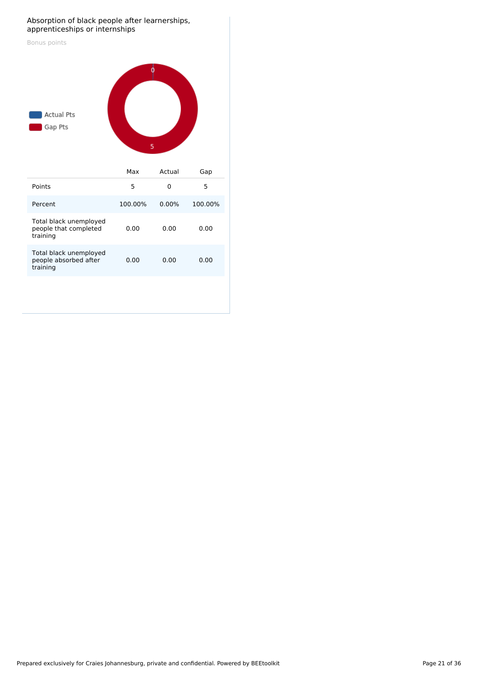#### Absorption of black people after learnerships, apprenticeships or internships

| Bonus points<br><b>Actual Pts</b><br>Gap Pts                | Ó<br>5  |        |         |
|-------------------------------------------------------------|---------|--------|---------|
|                                                             | Max     | Actual | Gap     |
| Points                                                      | 5       | 0      | 5       |
| Percent                                                     | 100.00% | 0.00%  | 100.00% |
| Total black unemployed<br>people that completed<br>training | 0.00    | 0.00   | 0.00    |
| Total black unemployed<br>people absorbed after<br>training | 0.00    | 0.00   | 0.00    |
|                                                             |         |        |         |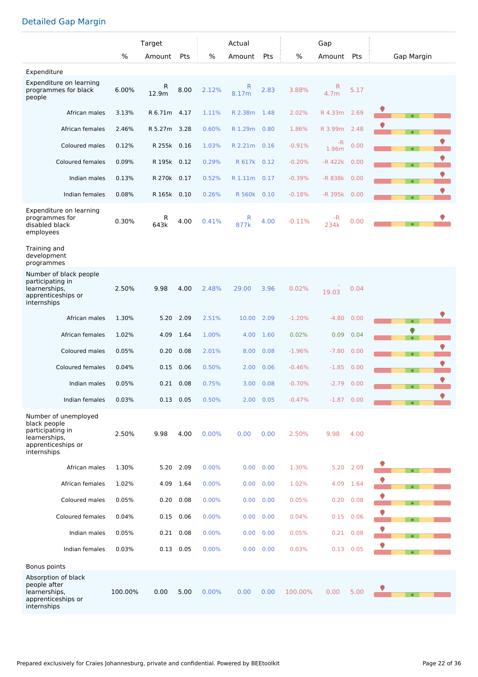# Detailed Gap Margin

|                                                                                                                |         | Target       |             |       | Actual       |            |          | Gap          |             |                |
|----------------------------------------------------------------------------------------------------------------|---------|--------------|-------------|-------|--------------|------------|----------|--------------|-------------|----------------|
|                                                                                                                | %       | Amount       | Pts         | $\%$  | Amount       | <b>Pts</b> | $\%$     | Amount Pts   |             | Gap Margin     |
| Expenditure                                                                                                    |         |              |             |       |              |            |          |              |             |                |
| Expenditure on learning<br>programmes for black<br>people                                                      | 6.00%   | R<br>12.9m   | 8.00        | 2.12% | R<br>8.17m   | 2.83       | 3.88%    | R<br>4.7m    | 5.17        |                |
| African males                                                                                                  | 3.13%   | R 6.71m 4.17 |             | 1.11% | R 2.38m      | 1.48       | 2.02%    | R 4.33m      | 2.69        | $\bullet$      |
| African females                                                                                                | 2.46%   | R 5.27m 3.28 |             | 0.60% | R 1.29m 0.80 |            | 1.86%    | R 3.99m      | 2.48        |                |
| Coloured males                                                                                                 | 0.12%   | R 255k       | 0.16        | 1.03% | R 2.21m      | 0.16       | $-0.91%$ | -R<br>1.96m  | 0.00        | $\bullet$      |
| <b>Coloured females</b>                                                                                        | 0.09%   | R 195k 0.12  |             | 0.29% | R 617k       | 0.12       | $-0.20%$ | $-R$ 422 $k$ | 0.00        | $\bullet$      |
| Indian males                                                                                                   | 0.13%   | R 270k 0.17  |             | 0.52% | R 1.11m 0.17 |            | $-0.39%$ | -R 838k      | 0.00        | $\bullet$      |
| Indian females                                                                                                 | 0.08%   | R 165k 0.10  |             | 0.26% | R 560k 0.10  |            | $-0.18%$ | -R 395k      | 0.00        | $\bullet$      |
| Expenditure on learning<br>programmes for<br>disabled black<br>employees                                       | 0.30%   | R<br>643k    | 4.00        | 0.41% | R<br>877k    | 4.00       | $-0.11%$ | $-R$<br>234k | 0.00        |                |
| Training and<br>development<br>programmes                                                                      |         |              |             |       |              |            |          |              |             |                |
| Number of black people<br>participating in<br>learnerships,<br>apprenticeships or<br>internships               | 2.50%   | 9.98         | 4.00        | 2.48% | 29.00        | 3.96       | 0.02%    | 19.03        | 0.04        |                |
| African males                                                                                                  | 1.30%   | 5.20         | 2.09        | 2.51% | 10.00        | 2.09       | $-1.20%$ | $-4.80$      | 0.00        | $\bullet$      |
| African females                                                                                                | 1.02%   | 4.09         | 1.64        | 1.00% | 4.00         | 1.60       | 0.02%    | 0.09         | 0.04        | ♥<br>$\bullet$ |
| Coloured males                                                                                                 | 0.05%   | 0.20         | 0.08        | 2.01% | 8.00         | 0.08       | $-1.96%$ | $-7.80$      | 0.00        | $\bullet$      |
| Coloured females                                                                                               | 0.04%   | 0.15         | 0.06        | 0.50% | 2.00         | 0.06       | $-0.46%$ | $-1.85$      | 0.00        | $\bullet$      |
| Indian males                                                                                                   | 0.05%   | 0.21         | 0.08        | 0.75% | 3.00         | 0.08       | $-0.70%$ | $-2.79$      | 0.00        | $\bullet$      |
| Indian females                                                                                                 | 0.03%   |              | $0.13$ 0.05 | 0.50% |              | 2.00 0.05  | $-0.47%$ | $-1.87$ 0.00 |             | $\bullet$      |
| Number of unemployed<br>black people<br>participating in<br>learnerships,<br>apprenticeships or<br>internships | 2.50%   | 9.98         | 4.00        | 0.00% | 0.00         | 0.00       | 2.50%    | 9.98         | 4.00        |                |
| African males                                                                                                  | 1.30%   |              | 5.20 2.09   | 0.00% | 0.00         | 0.00       | 1.30%    | 5.20         | 2.09        |                |
| African females                                                                                                | 1.02%   | 4.09         | 1.64        | 0.00% | 0.00         | 0.00       | 1.02%    | 4.09         | 1.64        |                |
| Coloured males                                                                                                 | 0.05%   | 0.20         | 0.08        | 0.00% | 0.00         | 0.00       | 0.05%    | 0.20         | 0.08        |                |
| Coloured females                                                                                               | 0.04%   | 0.15         | 0.06        | 0.00% | 0.00         | 0.00       | 0.04%    | 0.15         | 0.06        | $\bullet$      |
| Indian males                                                                                                   | 0.05%   | 0.21         | 0.08        | 0.00% | 0.00         | 0.00       | 0.05%    | 0.21         | 0.08        | $\bullet$      |
| Indian females                                                                                                 | 0.03%   |              | $0.13$ 0.05 | 0.00% | 0.00         | 0.00       | 0.03%    |              | $0.13$ 0.05 |                |
| Bonus points                                                                                                   |         |              |             |       |              |            |          |              |             |                |
| Absorption of black<br>people after<br>learnerships,<br>apprenticeships or<br>internships                      | 100.00% | 0.00         | 5.00        | 0.00% | 0.00         | 0.00       | 100.00%  | 0.00         | 5.00        |                |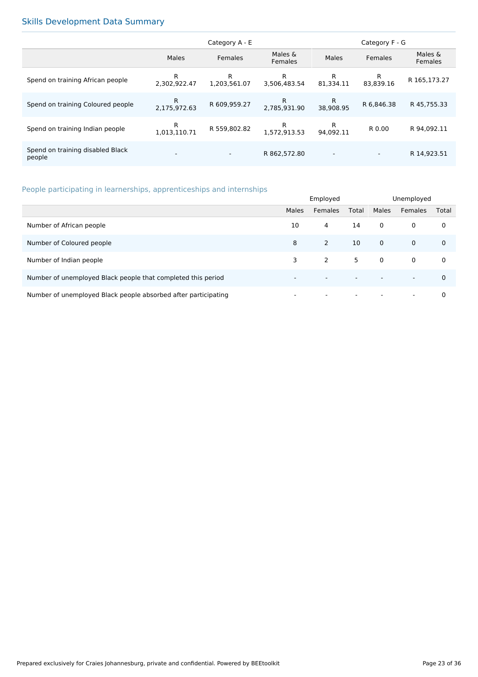# Skills Development Data Summary

|                                            | Category A - E           |                          |                           |                          | Category F - G           |                    |
|--------------------------------------------|--------------------------|--------------------------|---------------------------|--------------------------|--------------------------|--------------------|
|                                            | Males                    | Females                  | Males &<br><b>Females</b> | Males                    | <b>Females</b>           | Males &<br>Females |
| Spend on training African people           | R<br>2.302.922.47        | R<br>1,203,561.07        | R<br>3.506.483.54         | R<br>81.334.11           | R<br>83.839.16           | R 165,173.27       |
| Spend on training Coloured people          | R<br>2.175.972.63        | R 609,959.27             | R.<br>2.785.931.90        | R<br>38.908.95           | R 6,846.38               | R 45,755.33        |
| Spend on training Indian people            | R<br>1.013.110.71        | R 559,802.82             | R<br>1.572.913.53         | R<br>94.092.11           | R 0.00                   | R 94.092.11        |
| Spend on training disabled Black<br>people | $\overline{\phantom{a}}$ | $\overline{\phantom{0}}$ | R 862,572.80              | $\overline{\phantom{a}}$ | $\overline{\phantom{a}}$ | R 14,923.51        |

# People participating in learnerships, apprenticeships and internships

|                                                                | Employed                 |                          |                          | Unemployed  |                          |             |
|----------------------------------------------------------------|--------------------------|--------------------------|--------------------------|-------------|--------------------------|-------------|
|                                                                | Males                    | Females                  | Total                    | Males       | <b>Females</b>           | Total       |
| Number of African people                                       | 10                       | 4                        | 14                       | $\mathbf 0$ | $\mathbf 0$              | 0           |
| Number of Coloured people                                      | 8                        | 2                        | 10                       | $\mathbf 0$ | $\mathbf 0$              | $\mathbf 0$ |
| Number of Indian people                                        | 3                        | 2                        | 5                        | $\Omega$    | $\mathbf 0$              | 0           |
| Number of unemployed Black people that completed this period   |                          | $\overline{\phantom{0}}$ | $\overline{\phantom{a}}$ |             | $\overline{\phantom{0}}$ | $\Omega$    |
| Number of unemployed Black people absorbed after participating | $\overline{\phantom{a}}$ | $\overline{\phantom{a}}$ | $\overline{\phantom{a}}$ |             | $\overline{\phantom{0}}$ | 0           |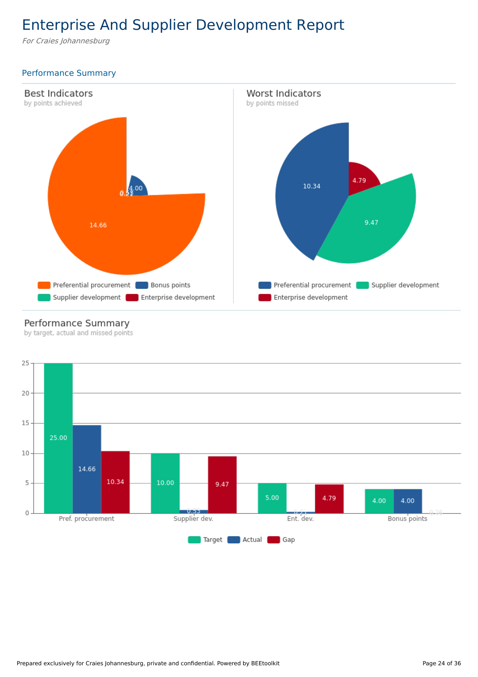# Enterprise And Supplier Development Report

For Craies Johannesburg

# Performance Summary



# Performance Summary

by target, actual and missed points

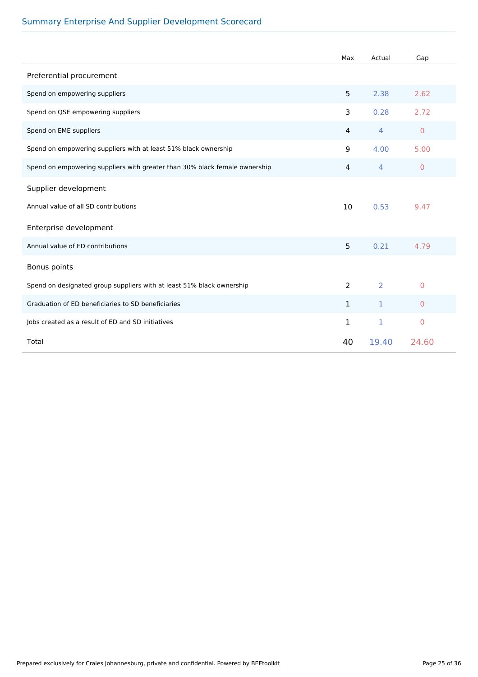# Summary Enterprise And Supplier Development Scorecard

|                                                                            | Max            | Actual | Gap                 |
|----------------------------------------------------------------------------|----------------|--------|---------------------|
| Preferential procurement                                                   |                |        |                     |
| Spend on empowering suppliers                                              | 5              | 2.38   | 2.62                |
| Spend on QSE empowering suppliers                                          | 3              | 0.28   | 2.72                |
| Spend on EME suppliers                                                     | $\overline{4}$ | 4      | $\mathbf{0}$        |
| Spend on empowering suppliers with at least 51% black ownership            | 9              | 4.00   | 5.00                |
| Spend on empowering suppliers with greater than 30% black female ownership | $\overline{4}$ | 4      | $\mathbf{0}$        |
| Supplier development                                                       |                |        |                     |
| Annual value of all SD contributions                                       | 10             | 0.53   | 9.47                |
| Enterprise development                                                     |                |        |                     |
| Annual value of ED contributions                                           | 5              | 0.21   | 4.79                |
| Bonus points                                                               |                |        |                     |
| Spend on designated group suppliers with at least 51% black ownership      | 2              | 2      | $\Omega$            |
| Graduation of ED beneficiaries to SD beneficiaries                         | $\mathbf{1}$   | 1      | $\overline{0}$      |
| Jobs created as a result of ED and SD initiatives                          | $\mathbf{1}$   | 1      | $\mathsf{O}\xspace$ |
| Total                                                                      | 40             | 19.40  | 24.60               |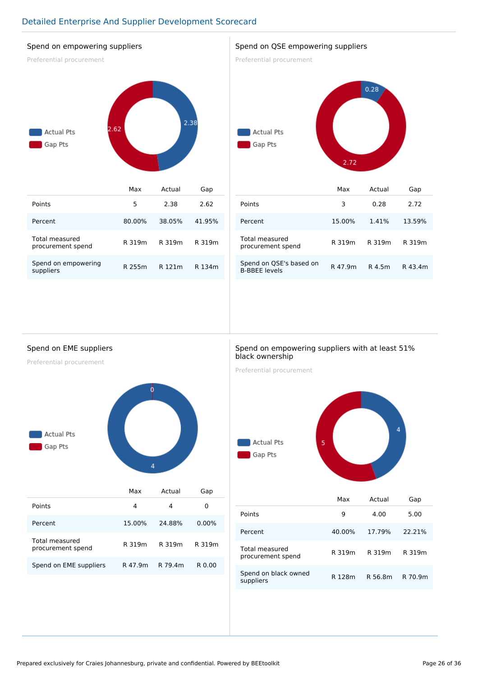# Detailed Enterprise And Supplier Development Scorecard

### Spend on empowering suppliers

Preferential procurement



| Points                              | 5      | 2.38   | 2.62   |
|-------------------------------------|--------|--------|--------|
| Percent                             | 80.00% | 38.05% | 41.95% |
| Total measured<br>procurement spend | R 319m | R 319m | R 319m |
| Spend on empowering<br>suppliers    | R 255m | R 121m | R 134m |

#### Spend on QSE empowering suppliers

Preferential procurement



|                                                 | Max     | Actual | Gap     |
|-------------------------------------------------|---------|--------|---------|
| Points                                          | 3       | 0.28   | 2.72    |
| Percent                                         | 15.00%  | 1.41%  | 13.59%  |
| Total measured<br>procurement spend             | R 319m  | R 319m | R 319m  |
| Spend on QSE's based on<br><b>B-BBFF levels</b> | R 47.9m | R 4.5m | R 43.4m |

Spend on EME suppliers

Preferential procurement



|                                     | Max     | Actual  | Gap      |
|-------------------------------------|---------|---------|----------|
| Points                              | 4       | 4       | 0        |
| Percent                             | 15.00%  | 24.88%  | $0.00\%$ |
| Total measured<br>procurement spend | R 319m  | R 319m  | R 319m   |
| Spend on EME suppliers              | R 47.9m | R 79.4m | R 0.00   |

#### Spend on empowering suppliers with at least 51% black ownership

Preferential procurement



|                                     | Max    | Actual  | Gap     |
|-------------------------------------|--------|---------|---------|
| Points                              | 9      | 4.00    | 5.00    |
| Percent                             | 40.00% | 17.79%  | 22.21%  |
| Total measured<br>procurement spend | R 319m | R 319m  | R 319m  |
| Spend on black owned<br>suppliers   | R 128m | R 56.8m | R 70.9m |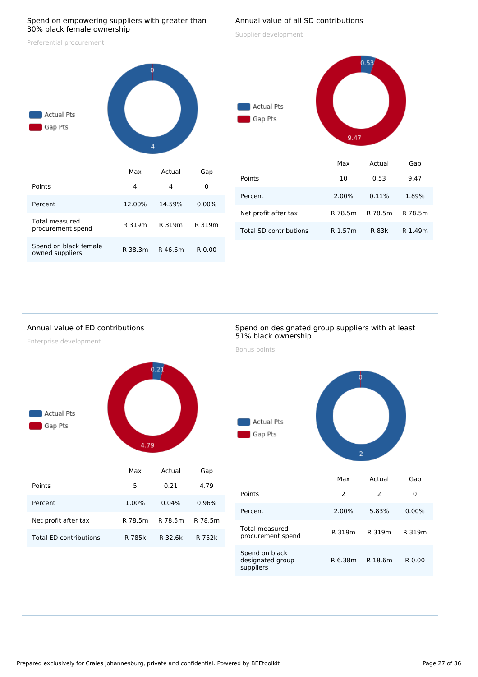#### Spend on empowering suppliers with greater than 30% black female ownership

Preferential procurement



R 319m R 319m R 319m

R 38.3m R 46.6m R 0.00

|  |  | Annual value of all SD contributions |
|--|--|--------------------------------------|
|  |  |                                      |

Supplier development

# $0.53$ Actual Pts Gap Pts

|                               | Max     | Actual  | Gap     |
|-------------------------------|---------|---------|---------|
| Points                        | 10      | 0.53    | 9.47    |
| Percent                       | 2.00%   | 0.11%   | 1.89%   |
| Net profit after tax          | R 78.5m | R 78.5m | R 78.5m |
| <b>Total SD contributions</b> | R 1.57m | R 83k   | R 1.49m |

9.47

#### Annual value of ED contributions

Enterprise development

Total measured procurement spend

Spend on black female owned suppliers



|                        | Max     | Actual  | Gap     |
|------------------------|---------|---------|---------|
| Points                 | 5       | 0.21    | 4.79    |
| Percent                | 1.00%   | 0.04%   | 0.96%   |
| Net profit after tax   | R 78.5m | R 78.5m | R 78.5m |
| Total ED contributions | R 785k  | R 32.6k | R 752k  |

#### Spend on designated group suppliers with at least 51% black ownership

Bonus points



|                                                 | Max     | Actual  | Gap      |
|-------------------------------------------------|---------|---------|----------|
| Points                                          | 2       | 2       | 0        |
| Percent                                         | 2.00%   | 5.83%   | $0.00\%$ |
| Total measured<br>procurement spend             | R 319m  | R 319m  | R 319m   |
| Spend on black<br>designated group<br>suppliers | R 6.38m | R 18.6m | R 0.00   |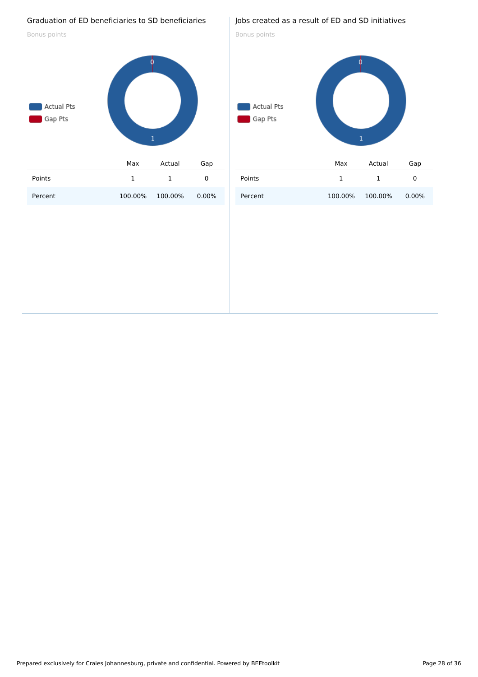#### Graduation of ED beneficiaries to SD beneficiaries

Bonus points



### Jobs created as a result of ED and SD initiatives

Bonus points

# Actual Pts Gap Pts  $\mathbf{1}$ Max Actual Gap Points 1 1 0 Percent 100.00% 100.00% 0.00%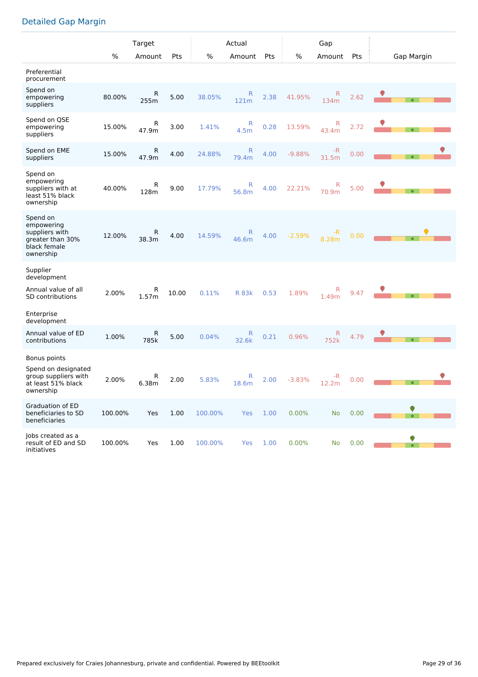# Detailed Gap Margin

|                                                                                                        |         | Target     |       |         | Actual                |      |          | Gap                  |      |            |
|--------------------------------------------------------------------------------------------------------|---------|------------|-------|---------|-----------------------|------|----------|----------------------|------|------------|
|                                                                                                        | %       | Amount     | Pts   | %       | Amount                | Pts  | %        | Amount               | Pts  | Gap Margin |
| Preferential<br>procurement                                                                            |         |            |       |         |                       |      |          |                      |      |            |
| Spend on<br>empowering<br>suppliers                                                                    | 80.00%  | R<br>255m  | 5.00  | 38.05%  | R<br>121m             | 2.38 | 41.95%   | R<br>134m            | 2.62 | $\bullet$  |
| Spend on QSE<br>empowering<br>suppliers                                                                | 15.00%  | R<br>47.9m | 3.00  | 1.41%   | R<br>4.5 <sub>m</sub> | 0.28 | 13.59%   | R<br>43.4m           | 2.72 |            |
| Spend on EME<br>suppliers                                                                              | 15.00%  | R<br>47.9m | 4.00  | 24.88%  | R<br>79.4m            | 4.00 | $-9.88%$ | -R<br>31.5m          | 0.00 |            |
| Spend on<br>empowering<br>suppliers with at<br>least 51% black<br>ownership                            | 40.00%  | R<br>128m  | 9.00  | 17.79%  | R<br>56.8m            | 4.00 | 22.21%   | R<br>70.9m           | 5.00 |            |
| Spend on<br>empowering<br>suppliers with<br>greater than 30%<br>black female<br>ownership              | 12.00%  | R<br>38.3m | 4.00  | 14.59%  | R<br>46.6m            | 4.00 | $-2.59%$ | -R<br>8.28m          | 0.00 |            |
| Supplier<br>development<br>Annual value of all<br><b>SD</b> contributions<br>Enterprise<br>development | 2.00%   | R<br>1.57m | 10.00 | 0.11%   | <b>R</b> 83k          | 0.53 | 1.89%    | R<br>1.49m           | 9.47 |            |
| Annual value of ED<br>contributions                                                                    | 1.00%   | R<br>785k  | 5.00  | 0.04%   | R<br>32.6k            | 0.21 | 0.96%    | $\mathsf{R}$<br>752k | 4.79 |            |
| Bonus points<br>Spend on designated<br>group suppliers with<br>at least 51% black<br>ownership         | 2.00%   | R<br>6.38m | 2.00  | 5.83%   | R<br>18.6m            | 2.00 | $-3.83%$ | -R<br>12.2m          | 0.00 |            |
| <b>Graduation of ED</b><br>beneficiaries to SD<br>beneficiaries                                        | 100.00% | Yes        | 1.00  | 100.00% | Yes                   | 1.00 | 0.00%    | <b>No</b>            | 0.00 |            |
| Jobs created as a<br>result of ED and SD<br>initiatives                                                | 100.00% | Yes        | 1.00  | 100.00% | Yes                   | 1.00 | 0.00%    | No                   | 0.00 |            |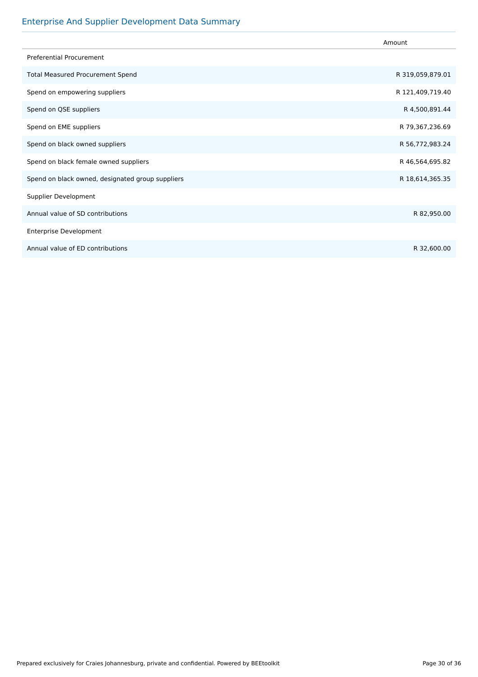# Enterprise And Supplier Development Data Summary

|                                                  | Amount           |
|--------------------------------------------------|------------------|
| <b>Preferential Procurement</b>                  |                  |
| <b>Total Measured Procurement Spend</b>          | R 319,059,879.01 |
| Spend on empowering suppliers                    | R 121,409,719.40 |
| Spend on QSE suppliers                           | R 4,500,891.44   |
| Spend on EME suppliers                           | R 79,367,236.69  |
| Spend on black owned suppliers                   | R 56,772,983.24  |
| Spend on black female owned suppliers            | R 46,564,695.82  |
| Spend on black owned, designated group suppliers | R 18,614,365.35  |
| Supplier Development                             |                  |
| Annual value of SD contributions                 | R 82,950.00      |
| <b>Enterprise Development</b>                    |                  |
| Annual value of ED contributions                 | R 32,600.00      |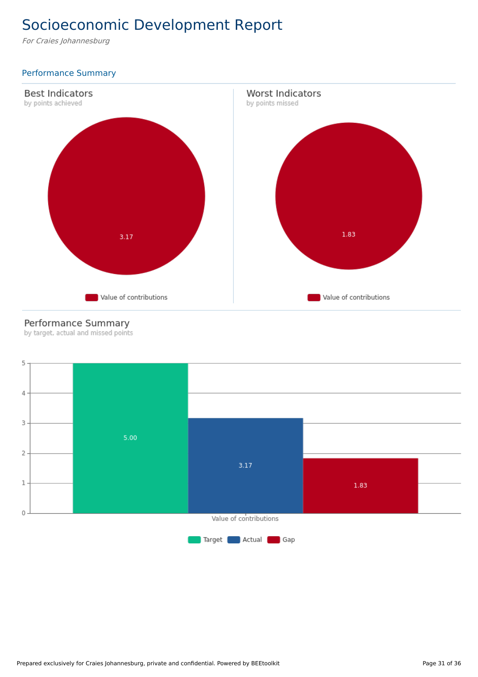# Socioeconomic Development Report

For Craies Johannesburg

# Performance Summary



# Performance Summary

by target, actual and missed points

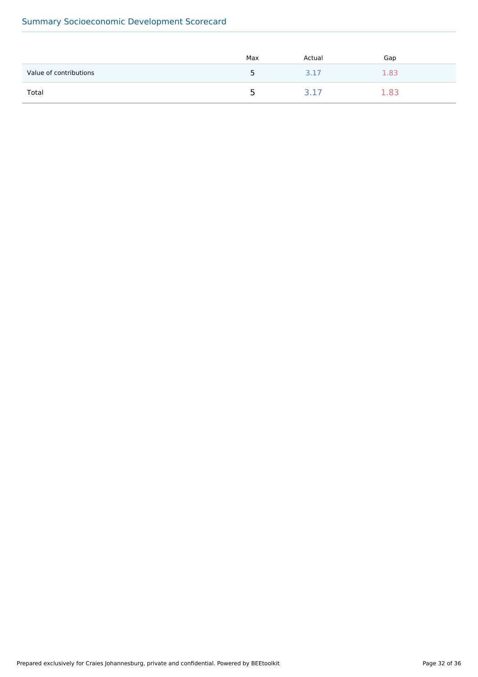# Summary Socioeconomic Development Scorecard

|                        | Max | Actual | Gap |
|------------------------|-----|--------|-----|
| Value of contributions | ∽   | 3.17   | -83 |
| Total                  | ∽   |        |     |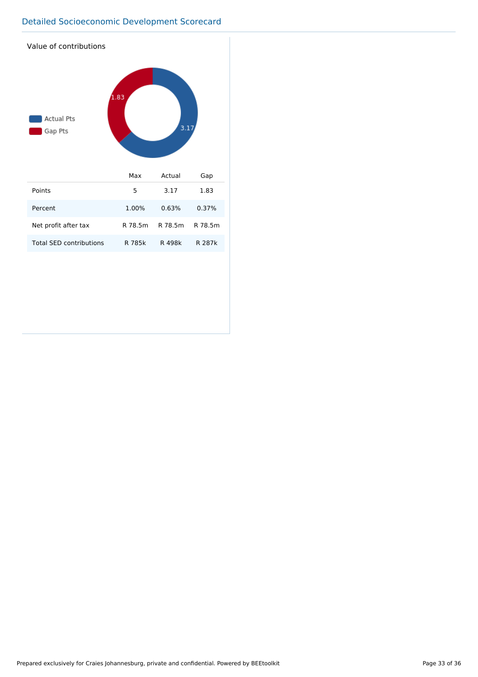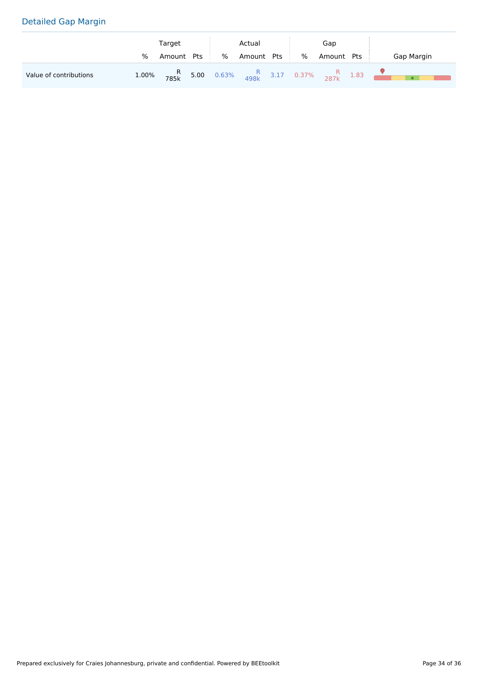# Detailed Gap Margin

|                        |   | Target                                 |     |   | Actual |     |      | Gap    |     |            |
|------------------------|---|----------------------------------------|-----|---|--------|-----|------|--------|-----|------------|
|                        | % | Amount                                 | Pts | % | Amount | Pts | $\%$ | Amount | Pts | Gap Margin |
| Value of contributions |   | 1.00% R 5.00 0.63% R 3.17 0.37% R 1.83 |     |   |        |     |      |        |     |            |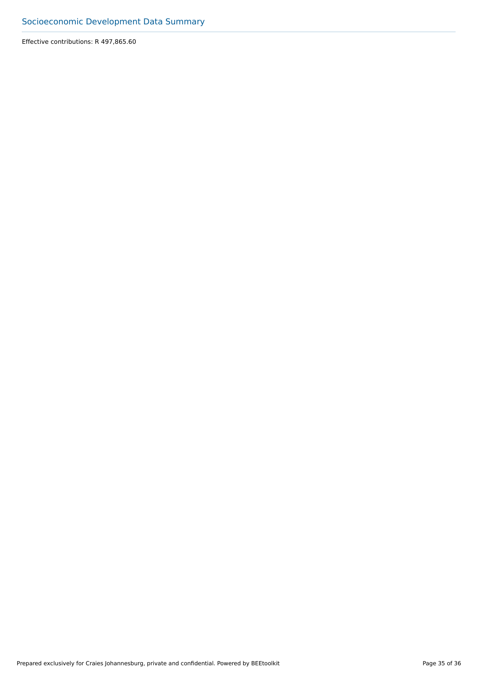Effective contributions: R 497,865.60